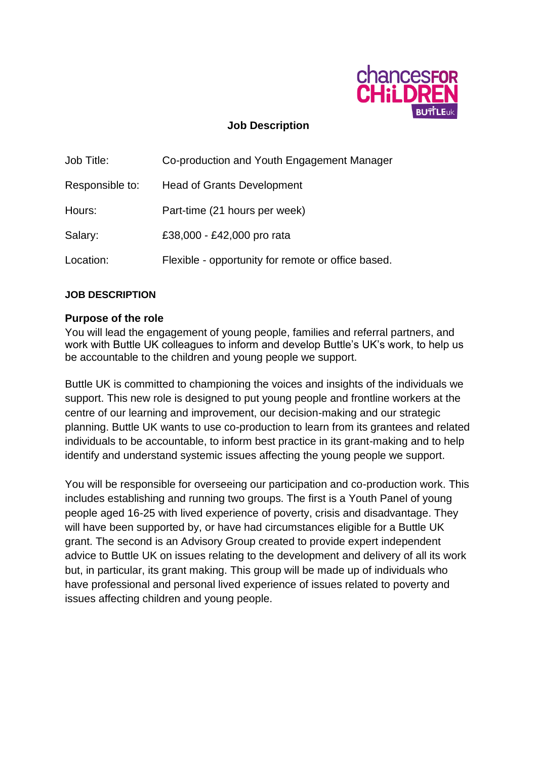

## **Job Description**

| Job Title:      | Co-production and Youth Engagement Manager         |  |
|-----------------|----------------------------------------------------|--|
| Responsible to: | <b>Head of Grants Development</b>                  |  |
| Hours:          | Part-time (21 hours per week)                      |  |
| Salary:         | £38,000 - £42,000 pro rata                         |  |
| Location:       | Flexible - opportunity for remote or office based. |  |

#### **JOB DESCRIPTION**

#### **Purpose of the role**

You will lead the engagement of young people, families and referral partners, and work with Buttle UK colleagues to inform and develop Buttle's UK's work, to help us be accountable to the children and young people we support.

Buttle UK is committed to championing the voices and insights of the individuals we support. This new role is designed to put young people and frontline workers at the centre of our learning and improvement, our decision-making and our strategic planning. Buttle UK wants to use co-production to learn from its grantees and related individuals to be accountable, to inform best practice in its grant-making and to help identify and understand systemic issues affecting the young people we support.

You will be responsible for overseeing our participation and co-production work. This includes establishing and running two groups. The first is a Youth Panel of young people aged 16-25 with lived experience of poverty, crisis and disadvantage. They will have been supported by, or have had circumstances eligible for a Buttle UK grant. The second is an Advisory Group created to provide expert independent advice to Buttle UK on issues relating to the development and delivery of all its work but, in particular, its grant making. This group will be made up of individuals who have professional and personal lived experience of issues related to poverty and issues affecting children and young people.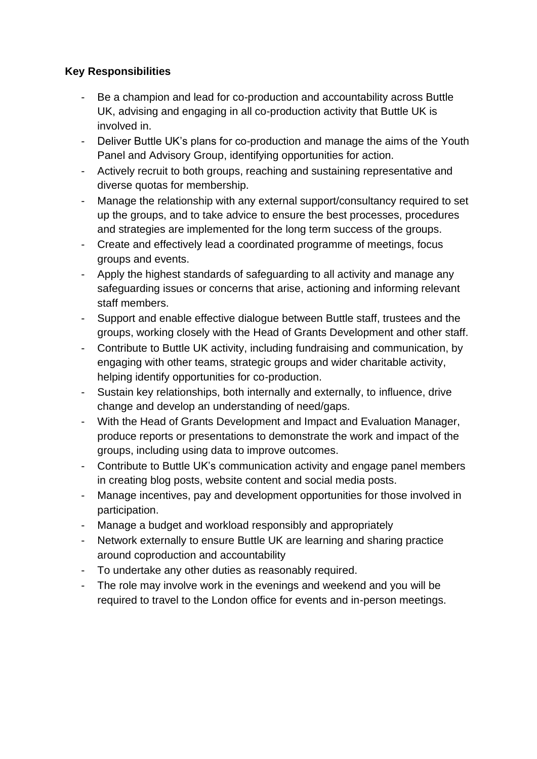## **Key Responsibilities**

- Be a champion and lead for co-production and accountability across Buttle UK, advising and engaging in all co-production activity that Buttle UK is involved in.
- Deliver Buttle UK's plans for co-production and manage the aims of the Youth Panel and Advisory Group, identifying opportunities for action.
- Actively recruit to both groups, reaching and sustaining representative and diverse quotas for membership.
- Manage the relationship with any external support/consultancy required to set up the groups, and to take advice to ensure the best processes, procedures and strategies are implemented for the long term success of the groups.
- Create and effectively lead a coordinated programme of meetings, focus groups and events.
- Apply the highest standards of safeguarding to all activity and manage any safeguarding issues or concerns that arise, actioning and informing relevant staff members.
- Support and enable effective dialogue between Buttle staff, trustees and the groups, working closely with the Head of Grants Development and other staff.
- Contribute to Buttle UK activity, including fundraising and communication, by engaging with other teams, strategic groups and wider charitable activity, helping identify opportunities for co-production.
- Sustain key relationships, both internally and externally, to influence, drive change and develop an understanding of need/gaps.
- With the Head of Grants Development and Impact and Evaluation Manager, produce reports or presentations to demonstrate the work and impact of the groups, including using data to improve outcomes.
- Contribute to Buttle UK's communication activity and engage panel members in creating blog posts, website content and social media posts.
- Manage incentives, pay and development opportunities for those involved in participation.
- Manage a budget and workload responsibly and appropriately
- Network externally to ensure Buttle UK are learning and sharing practice around coproduction and accountability
- To undertake any other duties as reasonably required.
- The role may involve work in the evenings and weekend and you will be required to travel to the London office for events and in-person meetings.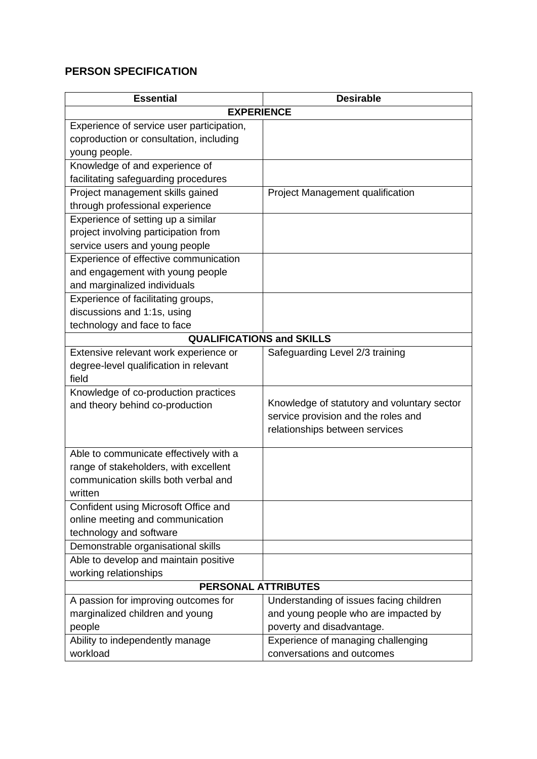# **PERSON SPECIFICATION**

| <b>Essential</b>                          | <b>Desirable</b>                            |  |  |
|-------------------------------------------|---------------------------------------------|--|--|
| <b>EXPERIENCE</b>                         |                                             |  |  |
| Experience of service user participation, |                                             |  |  |
| coproduction or consultation, including   |                                             |  |  |
| young people.                             |                                             |  |  |
| Knowledge of and experience of            |                                             |  |  |
| facilitating safeguarding procedures      |                                             |  |  |
| Project management skills gained          | Project Management qualification            |  |  |
| through professional experience           |                                             |  |  |
| Experience of setting up a similar        |                                             |  |  |
| project involving participation from      |                                             |  |  |
| service users and young people            |                                             |  |  |
| Experience of effective communication     |                                             |  |  |
| and engagement with young people          |                                             |  |  |
| and marginalized individuals              |                                             |  |  |
| Experience of facilitating groups,        |                                             |  |  |
| discussions and 1:1s, using               |                                             |  |  |
| technology and face to face               |                                             |  |  |
| <b>QUALIFICATIONS and SKILLS</b>          |                                             |  |  |
| Extensive relevant work experience or     | Safeguarding Level 2/3 training             |  |  |
| degree-level qualification in relevant    |                                             |  |  |
| field                                     |                                             |  |  |
| Knowledge of co-production practices      |                                             |  |  |
| and theory behind co-production           | Knowledge of statutory and voluntary sector |  |  |
|                                           | service provision and the roles and         |  |  |
|                                           | relationships between services              |  |  |
| Able to communicate effectively with a    |                                             |  |  |
| range of stakeholders, with excellent     |                                             |  |  |
| communication skills both verbal and      |                                             |  |  |
| written                                   |                                             |  |  |
| Confident using Microsoft Office and      |                                             |  |  |
| online meeting and communication          |                                             |  |  |
| technology and software                   |                                             |  |  |
| Demonstrable organisational skills        |                                             |  |  |
| Able to develop and maintain positive     |                                             |  |  |
| working relationships                     |                                             |  |  |
| <b>PERSONAL ATTRIBUTES</b>                |                                             |  |  |
| A passion for improving outcomes for      | Understanding of issues facing children     |  |  |
| marginalized children and young           | and young people who are impacted by        |  |  |
| people                                    | poverty and disadvantage.                   |  |  |
| Ability to independently manage           | Experience of managing challenging          |  |  |
| workload                                  | conversations and outcomes                  |  |  |